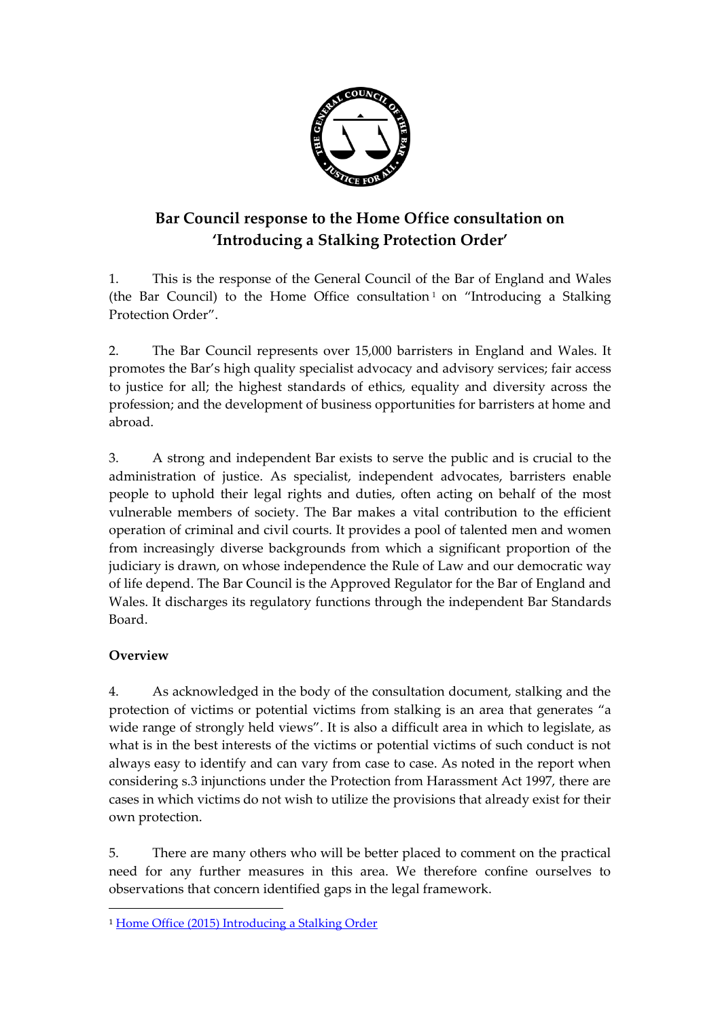

# **Bar Council response to the Home Office consultation on 'Introducing a Stalking Protection Order'**

1. This is the response of the General Council of the Bar of England and Wales (the Bar Council) to the Home Office consultation <sup>1</sup> on "Introducing a Stalking Protection Order".

2. The Bar Council represents over 15,000 barristers in England and Wales. It promotes the Bar's high quality specialist advocacy and advisory services; fair access to justice for all; the highest standards of ethics, equality and diversity across the profession; and the development of business opportunities for barristers at home and abroad.

3. A strong and independent Bar exists to serve the public and is crucial to the administration of justice. As specialist, independent advocates, barristers enable people to uphold their legal rights and duties, often acting on behalf of the most vulnerable members of society. The Bar makes a vital contribution to the efficient operation of criminal and civil courts. It provides a pool of talented men and women from increasingly diverse backgrounds from which a significant proportion of the judiciary is drawn, on whose independence the Rule of Law and our democratic way of life depend. The Bar Council is the Approved Regulator for the Bar of England and Wales. It discharges its regulatory functions through the independent Bar Standards Board.

# **Overview**

 $\overline{a}$ 

4. As acknowledged in the body of the consultation document, stalking and the protection of victims or potential victims from stalking is an area that generates "a wide range of strongly held views". It is also a difficult area in which to legislate, as what is in the best interests of the victims or potential victims of such conduct is not always easy to identify and can vary from case to case. As noted in the report when considering s.3 injunctions under the Protection from Harassment Act 1997, there are cases in which victims do not wish to utilize the provisions that already exist for their own protection.

5. There are many others who will be better placed to comment on the practical need for any further measures in this area. We therefore confine ourselves to observations that concern identified gaps in the legal framework.

<sup>1</sup> [Home Office \(2015\) Introducing a Stalking Order](https://www.gov.uk/government/uploads/system/uploads/attachment_data/file/482417/Introducing_a_Stalking_Protection_Order_-_a_consultation.pdf)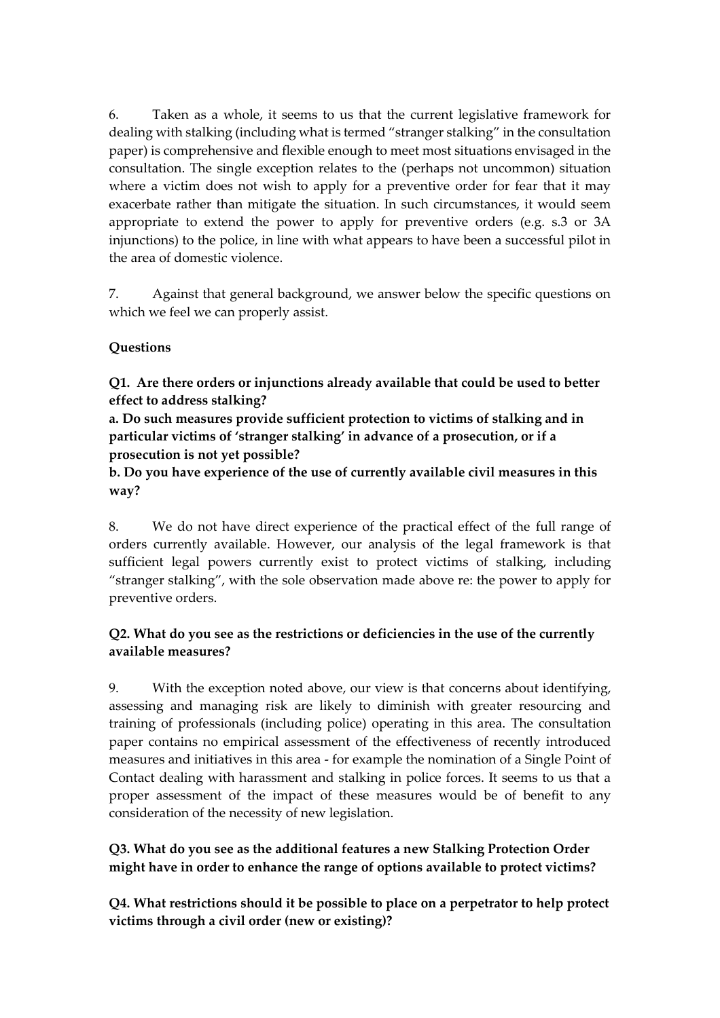6. Taken as a whole, it seems to us that the current legislative framework for dealing with stalking (including what is termed "stranger stalking" in the consultation paper) is comprehensive and flexible enough to meet most situations envisaged in the consultation. The single exception relates to the (perhaps not uncommon) situation where a victim does not wish to apply for a preventive order for fear that it may exacerbate rather than mitigate the situation. In such circumstances, it would seem appropriate to extend the power to apply for preventive orders (e.g. s.3 or 3A injunctions) to the police, in line with what appears to have been a successful pilot in the area of domestic violence.

7. Against that general background, we answer below the specific questions on which we feel we can properly assist.

#### **Questions**

**Q1. Are there orders or injunctions already available that could be used to better effect to address stalking?** 

**a. Do such measures provide sufficient protection to victims of stalking and in particular victims of 'stranger stalking' in advance of a prosecution, or if a prosecution is not yet possible?** 

#### **b. Do you have experience of the use of currently available civil measures in this way?**

8. We do not have direct experience of the practical effect of the full range of orders currently available. However, our analysis of the legal framework is that sufficient legal powers currently exist to protect victims of stalking, including "stranger stalking", with the sole observation made above re: the power to apply for preventive orders.

#### **Q2. What do you see as the restrictions or deficiencies in the use of the currently available measures?**

9. With the exception noted above, our view is that concerns about identifying, assessing and managing risk are likely to diminish with greater resourcing and training of professionals (including police) operating in this area. The consultation paper contains no empirical assessment of the effectiveness of recently introduced measures and initiatives in this area - for example the nomination of a Single Point of Contact dealing with harassment and stalking in police forces. It seems to us that a proper assessment of the impact of these measures would be of benefit to any consideration of the necessity of new legislation.

**Q3. What do you see as the additional features a new Stalking Protection Order might have in order to enhance the range of options available to protect victims?**

**Q4. What restrictions should it be possible to place on a perpetrator to help protect victims through a civil order (new or existing)?**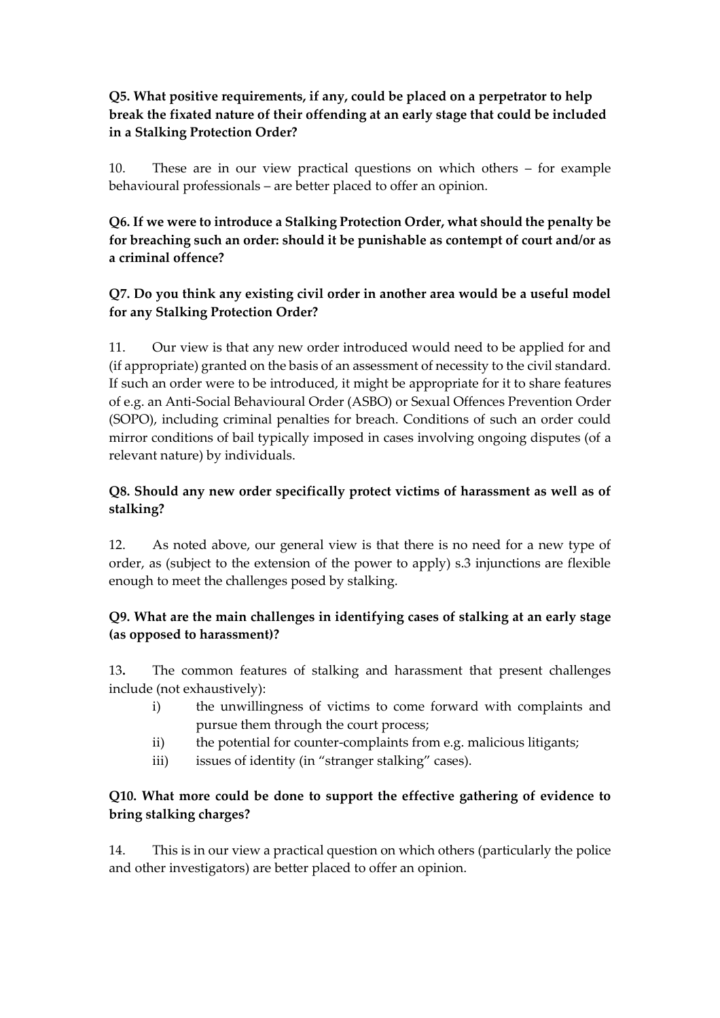#### **Q5. What positive requirements, if any, could be placed on a perpetrator to help break the fixated nature of their offending at an early stage that could be included in a Stalking Protection Order?**

10. These are in our view practical questions on which others – for example behavioural professionals – are better placed to offer an opinion.

# **Q6. If we were to introduce a Stalking Protection Order, what should the penalty be for breaching such an order: should it be punishable as contempt of court and/or as a criminal offence?**

#### **Q7. Do you think any existing civil order in another area would be a useful model for any Stalking Protection Order?**

11. Our view is that any new order introduced would need to be applied for and (if appropriate) granted on the basis of an assessment of necessity to the civil standard. If such an order were to be introduced, it might be appropriate for it to share features of e.g. an Anti-Social Behavioural Order (ASBO) or Sexual Offences Prevention Order (SOPO), including criminal penalties for breach. Conditions of such an order could mirror conditions of bail typically imposed in cases involving ongoing disputes (of a relevant nature) by individuals.

# **Q8. Should any new order specifically protect victims of harassment as well as of stalking?**

12. As noted above, our general view is that there is no need for a new type of order, as (subject to the extension of the power to apply) s.3 injunctions are flexible enough to meet the challenges posed by stalking.

# **Q9. What are the main challenges in identifying cases of stalking at an early stage (as opposed to harassment)?**

13**.** The common features of stalking and harassment that present challenges include (not exhaustively):

- i) the unwillingness of victims to come forward with complaints and pursue them through the court process;
- ii) the potential for counter-complaints from e.g. malicious litigants;
- iii) issues of identity (in "stranger stalking" cases).

# **Q10. What more could be done to support the effective gathering of evidence to bring stalking charges?**

14. This is in our view a practical question on which others (particularly the police and other investigators) are better placed to offer an opinion.